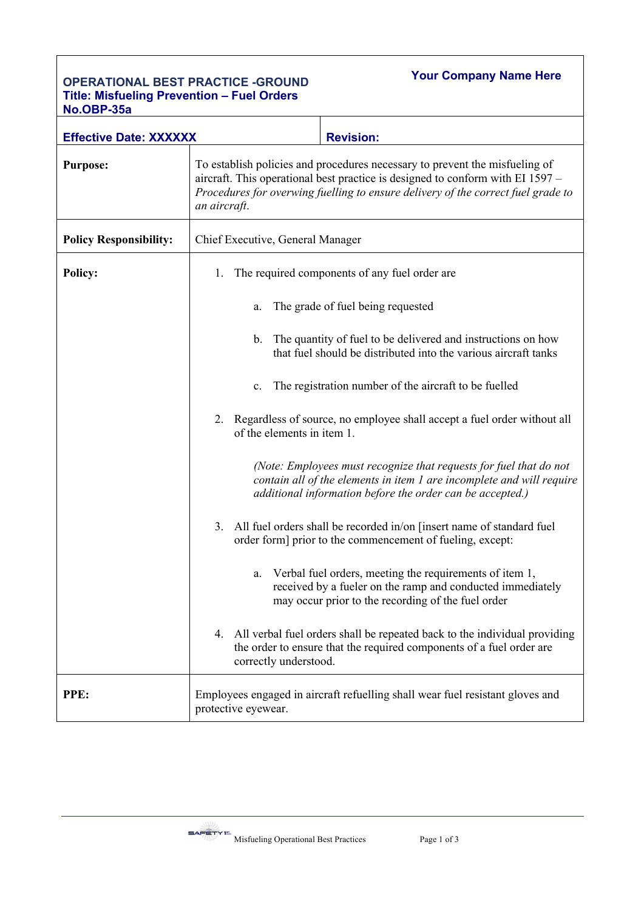## **OPERATIONAL BEST PRACTICE -GROUND Title: Misfueling Prevention – Fuel Orders No.OBP-35a**

**Your Company Name Here**

| סטט- יוסט.                    |                                                                                                                                                                                                                                                                   |  |  |
|-------------------------------|-------------------------------------------------------------------------------------------------------------------------------------------------------------------------------------------------------------------------------------------------------------------|--|--|
| <b>Effective Date: XXXXXX</b> | <b>Revision:</b>                                                                                                                                                                                                                                                  |  |  |
| <b>Purpose:</b>               | To establish policies and procedures necessary to prevent the misfueling of<br>aircraft. This operational best practice is designed to conform with EI 1597 –<br>Procedures for overwing fuelling to ensure delivery of the correct fuel grade to<br>an aircraft. |  |  |
| <b>Policy Responsibility:</b> | Chief Executive, General Manager                                                                                                                                                                                                                                  |  |  |
| <b>Policy:</b>                | The required components of any fuel order are<br>1.                                                                                                                                                                                                               |  |  |
|                               | The grade of fuel being requested<br>a.                                                                                                                                                                                                                           |  |  |
|                               | The quantity of fuel to be delivered and instructions on how<br>b.<br>that fuel should be distributed into the various aircraft tanks                                                                                                                             |  |  |
|                               | The registration number of the aircraft to be fuelled<br>c.                                                                                                                                                                                                       |  |  |
|                               | Regardless of source, no employee shall accept a fuel order without all<br>2.<br>of the elements in item 1.                                                                                                                                                       |  |  |
|                               | (Note: Employees must recognize that requests for fuel that do not<br>contain all of the elements in item 1 are incomplete and will require<br>additional information before the order can be accepted.)                                                          |  |  |
|                               | 3. All fuel orders shall be recorded in/on [insert name of standard fuel]<br>order form] prior to the commencement of fueling, except:                                                                                                                            |  |  |
|                               | Verbal fuel orders, meeting the requirements of item 1,<br>a.<br>received by a fueler on the ramp and conducted immediately<br>may occur prior to the recording of the fuel order                                                                                 |  |  |
|                               | 4. All verbal fuel orders shall be repeated back to the individual providing<br>the order to ensure that the required components of a fuel order are<br>correctly understood.                                                                                     |  |  |
| PPE:                          | Employees engaged in aircraft refuelling shall wear fuel resistant gloves and<br>protective eyewear.                                                                                                                                                              |  |  |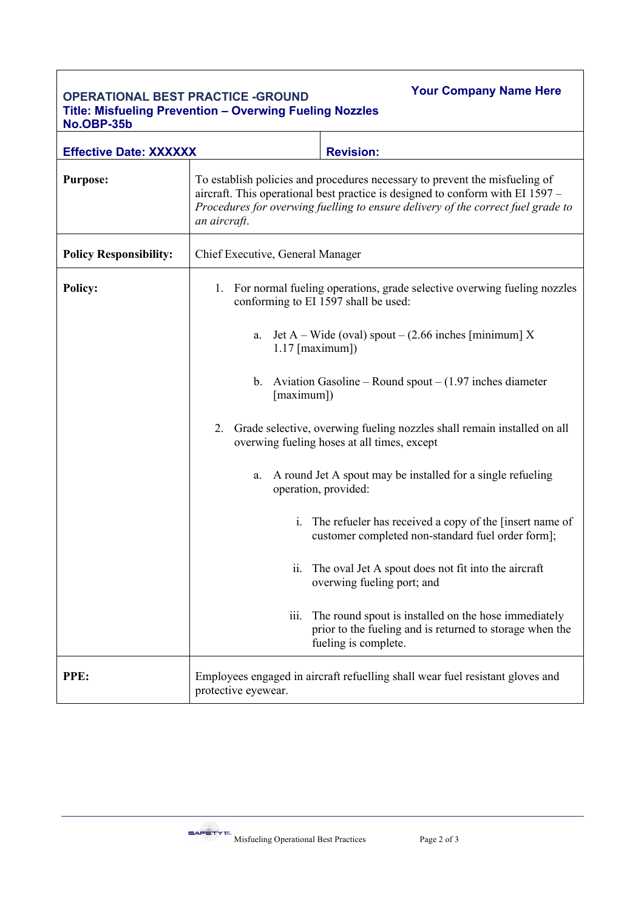## **OPERATIONAL BEST PRACTICE -GROUND Title: Misfueling Prevention – Overwing Fueling Nozzles No.OBP-35b**

**Your Company Name Here**

| <b>Effective Date: XXXXXX</b> |                                                                                                                                                                                                                                                                                                                                                                                                                                                                                                                                      | <b>Revision:</b>                                                                                                                         |  |
|-------------------------------|--------------------------------------------------------------------------------------------------------------------------------------------------------------------------------------------------------------------------------------------------------------------------------------------------------------------------------------------------------------------------------------------------------------------------------------------------------------------------------------------------------------------------------------|------------------------------------------------------------------------------------------------------------------------------------------|--|
| <b>Purpose:</b>               | To establish policies and procedures necessary to prevent the misfueling of<br>aircraft. This operational best practice is designed to conform with EI 1597 -<br>Procedures for overwing fuelling to ensure delivery of the correct fuel grade to<br>an aircraft.                                                                                                                                                                                                                                                                    |                                                                                                                                          |  |
| <b>Policy Responsibility:</b> | Chief Executive, General Manager                                                                                                                                                                                                                                                                                                                                                                                                                                                                                                     |                                                                                                                                          |  |
| <b>Policy:</b>                | For normal fueling operations, grade selective overwing fueling nozzles<br>1.<br>conforming to EI 1597 shall be used:<br>Jet A – Wide (oval) spout – $(2.66$ inches [minimum] X<br>a.<br>$1.17$ [maximum])<br>Aviation Gasoline – Round spout – $(1.97$ inches diameter<br>$\mathbf{b}$ .<br>[maximum])<br>Grade selective, overwing fueling nozzles shall remain installed on all<br>2.<br>overwing fueling hoses at all times, except<br>A round Jet A spout may be installed for a single refueling<br>a.<br>operation, provided: |                                                                                                                                          |  |
|                               |                                                                                                                                                                                                                                                                                                                                                                                                                                                                                                                                      |                                                                                                                                          |  |
|                               |                                                                                                                                                                                                                                                                                                                                                                                                                                                                                                                                      |                                                                                                                                          |  |
|                               |                                                                                                                                                                                                                                                                                                                                                                                                                                                                                                                                      |                                                                                                                                          |  |
|                               |                                                                                                                                                                                                                                                                                                                                                                                                                                                                                                                                      |                                                                                                                                          |  |
|                               | $\mathbf{i}$ .                                                                                                                                                                                                                                                                                                                                                                                                                                                                                                                       | The refueler has received a copy of the [insert name of<br>customer completed non-standard fuel order form];                             |  |
|                               | 11.                                                                                                                                                                                                                                                                                                                                                                                                                                                                                                                                  | The oval Jet A spout does not fit into the aircraft<br>overwing fueling port; and                                                        |  |
|                               | 111.                                                                                                                                                                                                                                                                                                                                                                                                                                                                                                                                 | The round spout is installed on the hose immediately<br>prior to the fueling and is returned to storage when the<br>fueling is complete. |  |
| PPE:                          | protective eyewear.                                                                                                                                                                                                                                                                                                                                                                                                                                                                                                                  | Employees engaged in aircraft refuelling shall wear fuel resistant gloves and                                                            |  |

 $S = \sqrt{P(T)}$  Misfueling Operational Best Practices Page 2 of 3